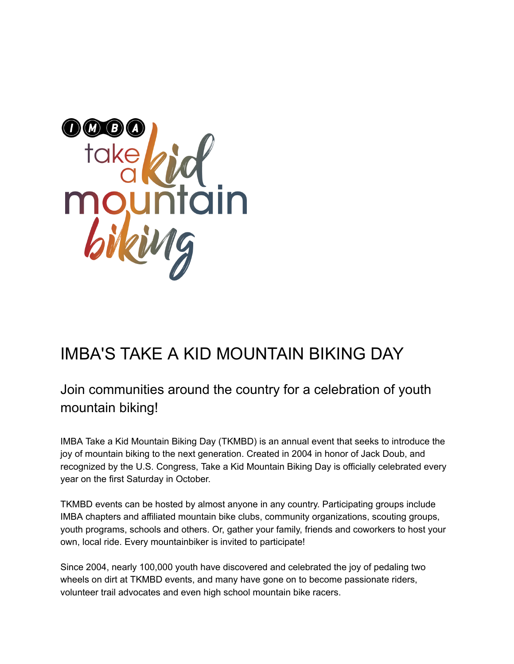

# IMBA'S TAKE A KID MOUNTAIN BIKING DAY

# Join communities around the country for a celebration of youth mountain biking!

IMBA Take a Kid Mountain Biking Day (TKMBD) is an annual event that seeks to introduce the joy of mountain biking to the next generation. Created in 2004 in honor of Jack Doub, and recognized by the U.S. Congress, Take a Kid Mountain Biking Day is officially celebrated every year on the first Saturday in October.

TKMBD events can be hosted by almost anyone in any country. Participating groups include IMBA chapters and affiliated mountain bike clubs, community organizations, scouting groups, youth programs, schools and others. Or, gather your family, friends and coworkers to host your own, local ride. Every mountainbiker is invited to participate!

Since 2004, nearly 100,000 youth have discovered and celebrated the joy of pedaling two wheels on dirt at TKMBD events, and many have gone on to become passionate riders, volunteer trail advocates and even high school mountain bike racers.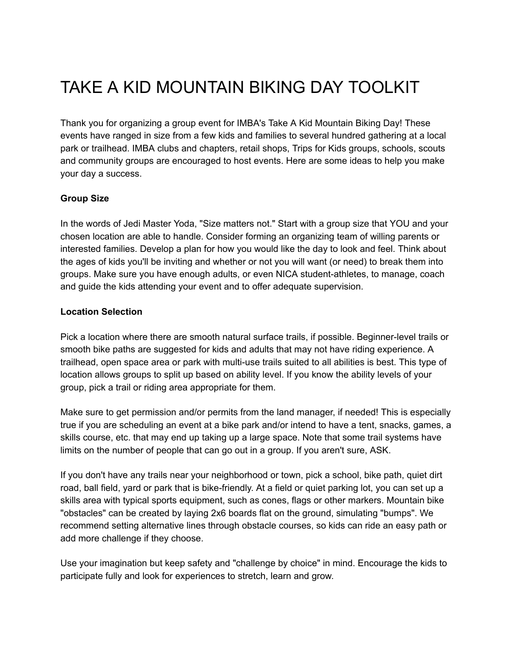# TAKE A KID MOUNTAIN BIKING DAY TOOLKIT

Thank you for organizing a group event for IMBA's Take A Kid Mountain Biking Day! These events have ranged in size from a few kids and families to several hundred gathering at a local park or trailhead. IMBA clubs and chapters, retail shops, Trips for Kids groups, schools, scouts and community groups are encouraged to host events. Here are some ideas to help you make your day a success.

## **Group Size**

In the words of Jedi Master Yoda, "Size matters not." Start with a group size that YOU and your chosen location are able to handle. Consider forming an organizing team of willing parents or interested families. Develop a plan for how you would like the day to look and feel. Think about the ages of kids you'll be inviting and whether or not you will want (or need) to break them into groups. Make sure you have enough adults, or even NICA student-athletes, to manage, coach and guide the kids attending your event and to offer adequate supervision.

#### **Location Selection**

Pick a location where there are smooth natural surface trails, if possible. Beginner-level trails or smooth bike paths are suggested for kids and adults that may not have riding experience. A trailhead, open space area or park with multi-use trails suited to all abilities is best. This type of location allows groups to split up based on ability level. If you know the ability levels of your group, pick a trail or riding area appropriate for them.

Make sure to get permission and/or permits from the land manager, if needed! This is especially true if you are scheduling an event at a bike park and/or intend to have a tent, snacks, games, a skills course, etc. that may end up taking up a large space. Note that some trail systems have limits on the number of people that can go out in a group. If you aren't sure, ASK.

If you don't have any trails near your neighborhood or town, pick a school, bike path, quiet dirt road, ball field, yard or park that is bike-friendly. At a field or quiet parking lot, you can set up a skills area with typical sports equipment, such as cones, flags or other markers. Mountain bike "obstacles" can be created by laying 2x6 boards flat on the ground, simulating "bumps". We recommend setting alternative lines through obstacle courses, so kids can ride an easy path or add more challenge if they choose.

Use your imagination but keep safety and "challenge by choice" in mind. Encourage the kids to participate fully and look for experiences to stretch, learn and grow.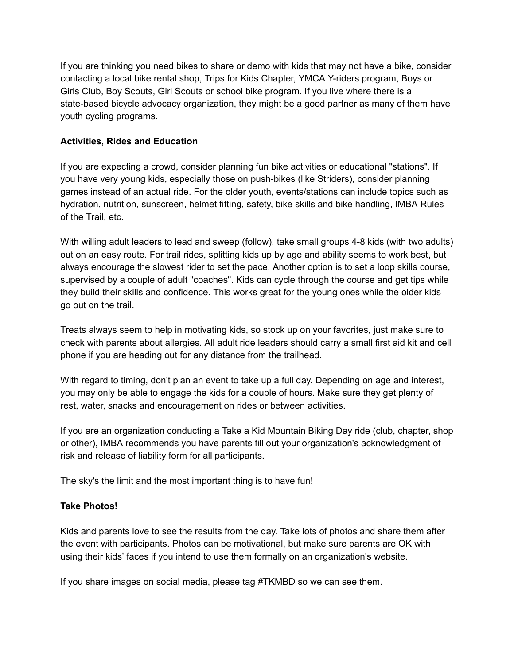If you are thinking you need bikes to share or demo with kids that may not have a bike, consider contacting a local bike rental shop, Trips for Kids Chapter, YMCA Y-riders program, Boys or Girls Club, Boy Scouts, Girl Scouts or school bike program. If you live where there is a state-based bicycle advocacy organization, they might be a good partner as many of them have youth cycling programs.

## **Activities, Rides and Education**

If you are expecting a crowd, consider planning fun bike activities or educational "stations". If you have very young kids, especially those on push-bikes (like Striders), consider planning games instead of an actual ride. For the older youth, events/stations can include topics such as hydration, nutrition, sunscreen, helmet fitting, safety, bike skills and bike handling, IMBA Rules of the Trail, etc.

With willing adult leaders to lead and sweep (follow), take small groups 4-8 kids (with two adults) out on an easy route. For trail rides, splitting kids up by age and ability seems to work best, but always encourage the slowest rider to set the pace. Another option is to set a loop skills course, supervised by a couple of adult "coaches". Kids can cycle through the course and get tips while they build their skills and confidence. This works great for the young ones while the older kids go out on the trail.

Treats always seem to help in motivating kids, so stock up on your favorites, just make sure to check with parents about allergies. All adult ride leaders should carry a small first aid kit and cell phone if you are heading out for any distance from the trailhead.

With regard to timing, don't plan an event to take up a full day. Depending on age and interest, you may only be able to engage the kids for a couple of hours. Make sure they get plenty of rest, water, snacks and encouragement on rides or between activities.

If you are an organization conducting a Take a Kid Mountain Biking Day ride (club, chapter, shop or other), IMBA recommends you have parents fill out your organization's acknowledgment of risk and release of liability form for all participants.

The sky's the limit and the most important thing is to have fun!

## **Take Photos!**

Kids and parents love to see the results from the day. Take lots of photos and share them after the event with participants. Photos can be motivational, but make sure parents are OK with using their kids' faces if you intend to use them formally on an organization's website.

If you share images on social media, please tag #TKMBD so we can see them.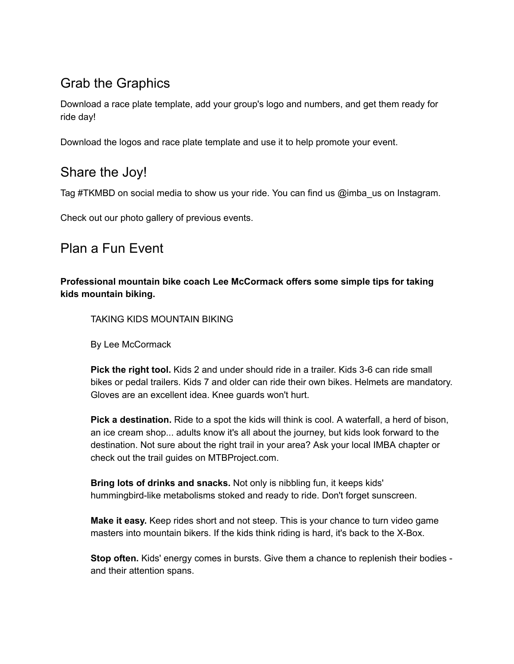# Grab the Graphics

Download a race plate template, add your group's logo and numbers, and get them ready for ride day!

Download the logos and race plate template and use it to help promote your event.

# Share the Joy!

Tag #TKMBD on social media to show us your ride. You can find us @imba\_us on Instagram.

Check out our photo gallery of previous events.

## Plan a Fun Event

**Professional mountain bike coach Lee McCormack offers some simple tips for taking kids mountain biking.**

TAKING KIDS MOUNTAIN BIKING

By Lee McCormack

**Pick the right tool.** Kids 2 and under should ride in a trailer. Kids 3-6 can ride small bikes or pedal trailers. Kids 7 and older can ride their own bikes. Helmets are mandatory. Gloves are an excellent idea. Knee guards won't hurt.

**Pick a destination.** Ride to a spot the kids will think is cool. A waterfall, a herd of bison, an ice cream shop... adults know it's all about the journey, but kids look forward to the destination. Not sure about the right trail in your area? Ask your local IMBA chapter or check out the trail guides on MTBProject.com.

**Bring lots of drinks and snacks.** Not only is nibbling fun, it keeps kids' hummingbird-like metabolisms stoked and ready to ride. Don't forget sunscreen.

**Make it easy.** Keep rides short and not steep. This is your chance to turn video game masters into mountain bikers. If the kids think riding is hard, it's back to the X-Box.

**Stop often.** Kids' energy comes in bursts. Give them a chance to replenish their bodies and their attention spans.